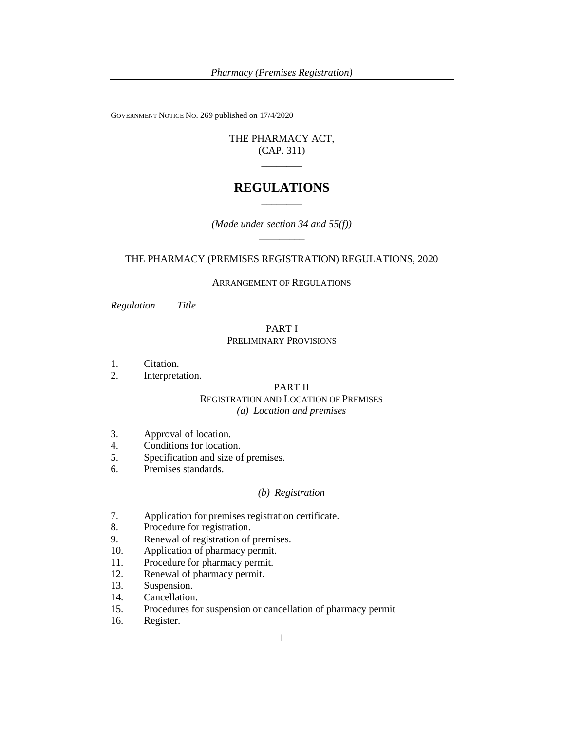GOVERNMENT NOTICE NO. 269 published on 17/4/2020

# THE PHARMACY ACT, (CAP. 311)  $\overline{\phantom{a}}$

# **REGULATIONS** \_\_\_\_\_\_\_\_

*(Made under section 34 and 55(f))* \_\_\_\_\_\_\_\_\_

# THE PHARMACY (PREMISES REGISTRATION) REGULATIONS, 2020

#### ARRANGEMENT OF REGULATIONS

*Regulation Title*

# PART I PRELIMINARY PROVISIONS

- 1. Citation.
- 2. Interpretation.

# PART II

# REGISTRATION AND LOCATION OF PREMISES *(a) Location and premises*

- 3. Approval of location.
- 4. Conditions for location.
- 5. Specification and size of premises.
- 6. Premises standards.

# *(b) Registration*

- 7. Application for premises registration certificate.
- 8. Procedure for registration.
- 9. Renewal of registration of premises.
- 10. Application of pharmacy permit.
- 11. Procedure for pharmacy permit.
- 12. Renewal of pharmacy permit.
- 13. Suspension.
- 14. Cancellation.
- 15. Procedures for suspension or cancellation of pharmacy permit
- 16. Register.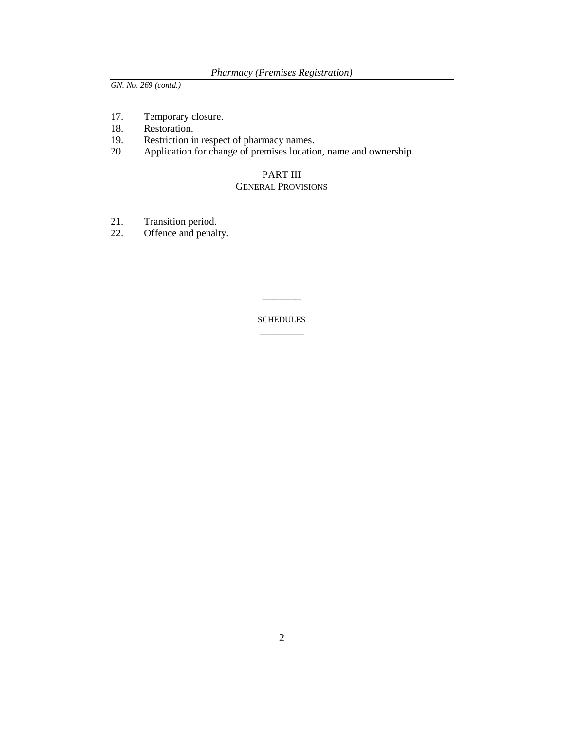- 17. Temporary closure.<br>18. Restoration.
- Restoration.
- 19. Restriction in respect of pharmacy names.
- 20. Application for change of premises location, name and ownership.

# PART III GENERAL PROVISIONS

- 21. Transition period.<br>22. Offence and penal
- Offence and penalty.

**SCHEDULES** \_\_\_\_\_\_\_\_

\_\_\_\_\_\_\_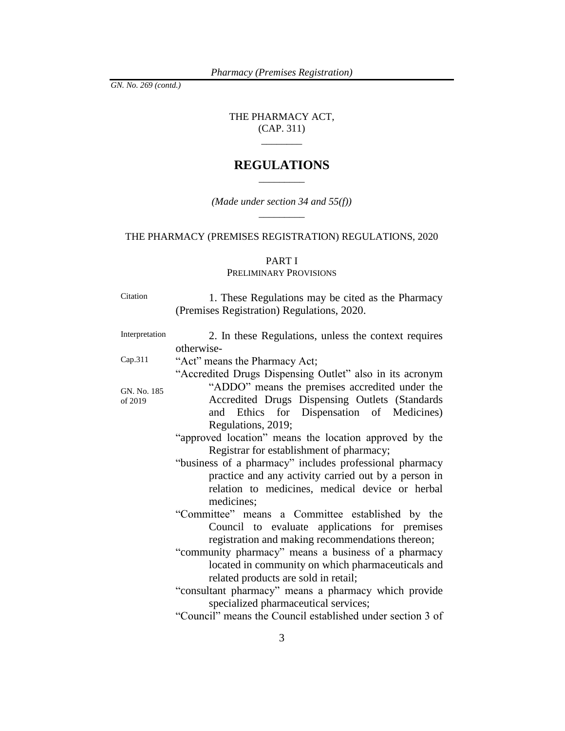THE PHARMACY ACT, (CAP. 311)

 $\overline{\phantom{a}}$   $\overline{\phantom{a}}$ 

# **REGULATIONS**  $\overline{\phantom{a}}$   $\overline{\phantom{a}}$   $\overline{\phantom{a}}$   $\overline{\phantom{a}}$   $\overline{\phantom{a}}$   $\overline{\phantom{a}}$   $\overline{\phantom{a}}$   $\overline{\phantom{a}}$   $\overline{\phantom{a}}$   $\overline{\phantom{a}}$   $\overline{\phantom{a}}$   $\overline{\phantom{a}}$   $\overline{\phantom{a}}$   $\overline{\phantom{a}}$   $\overline{\phantom{a}}$   $\overline{\phantom{a}}$   $\overline{\phantom{a}}$   $\overline{\phantom{a}}$   $\overline{\$

*(Made under section 34 and 55(f))*

\_\_\_\_\_\_\_\_\_

# THE PHARMACY (PREMISES REGISTRATION) REGULATIONS, 2020

# PART I

# PRELIMINARY PROVISIONS

| Citation               | 1. These Regulations may be cited as the Pharmacy<br>(Premises Registration) Regulations, 2020.                                                                                                                                 |
|------------------------|---------------------------------------------------------------------------------------------------------------------------------------------------------------------------------------------------------------------------------|
| Interpretation         | 2. In these Regulations, unless the context requires<br>otherwise-                                                                                                                                                              |
| Cap.311                | "Act" means the Pharmacy Act;                                                                                                                                                                                                   |
| GN. No. 185<br>of 2019 | "Accredited Drugs Dispensing Outlet" also in its acronym<br>"ADDO" means the premises accredited under the<br>Accredited Drugs Dispensing Outlets (Standards<br>and Ethics for Dispensation of Medicines)<br>Regulations, 2019; |
|                        | "approved location" means the location approved by the<br>Registrar for establishment of pharmacy;                                                                                                                              |
|                        | "business of a pharmacy" includes professional pharmacy<br>practice and any activity carried out by a person in<br>relation to medicines, medical device or herbal<br>medicines;                                                |
|                        | "Committee" means a Committee established by the<br>Council to evaluate applications for premises<br>registration and making recommendations thereon;                                                                           |
|                        | "community pharmacy" means a business of a pharmacy<br>located in community on which pharmaceuticals and<br>related products are sold in retail;                                                                                |
|                        | "consultant pharmacy" means a pharmacy which provide<br>specialized pharmaceutical services;                                                                                                                                    |
|                        | "Council" means the Council established under section 3 of                                                                                                                                                                      |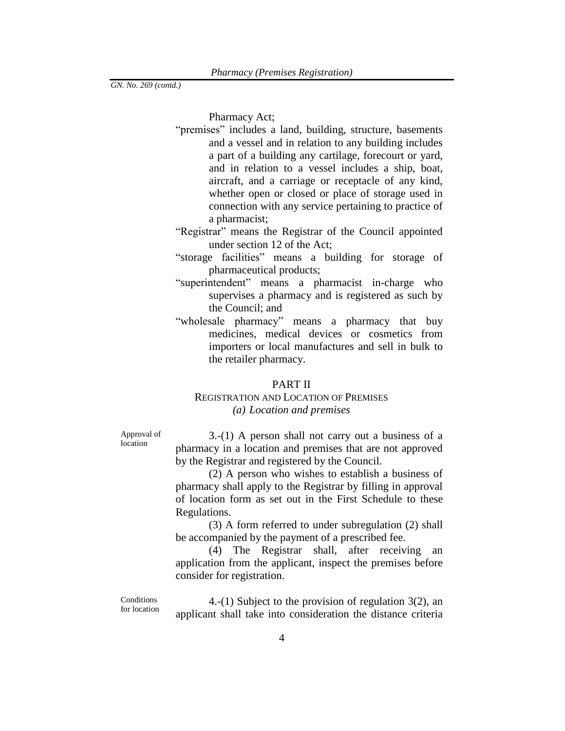Pharmacy Act;

- "premises" includes a land, building, structure, basements and a vessel and in relation to any building includes a part of a building any cartilage, forecourt or yard, and in relation to a vessel includes a ship, boat, aircraft, and a carriage or receptacle of any kind, whether open or closed or place of storage used in connection with any service pertaining to practice of a pharmacist;
- "Registrar" means the Registrar of the Council appointed under section 12 of the Act;
- "storage facilities" means a building for storage of pharmaceutical products;
- "superintendent" means a pharmacist in-charge who supervises a pharmacy and is registered as such by the Council; and
- "wholesale pharmacy" means a pharmacy that buy medicines, medical devices or cosmetics from importers or local manufactures and sell in bulk to the retailer pharmacy.

#### PART II

# REGISTRATION AND LOCATION OF PREMISES *(a) Location and premises*

Approval of location

3.-(1) A person shall not carry out a business of a pharmacy in a location and premises that are not approved by the Registrar and registered by the Council.

(2) A person who wishes to establish a business of pharmacy shall apply to the Registrar by filling in approval of location form as set out in the First Schedule to these Regulations.

(3) A form referred to under subregulation (2) shall be accompanied by the payment of a prescribed fee.

(4) The Registrar shall, after receiving an application from the applicant, inspect the premises before consider for registration.

**Conditions** for location

4.-(1) Subject to the provision of regulation 3(2), an applicant shall take into consideration the distance criteria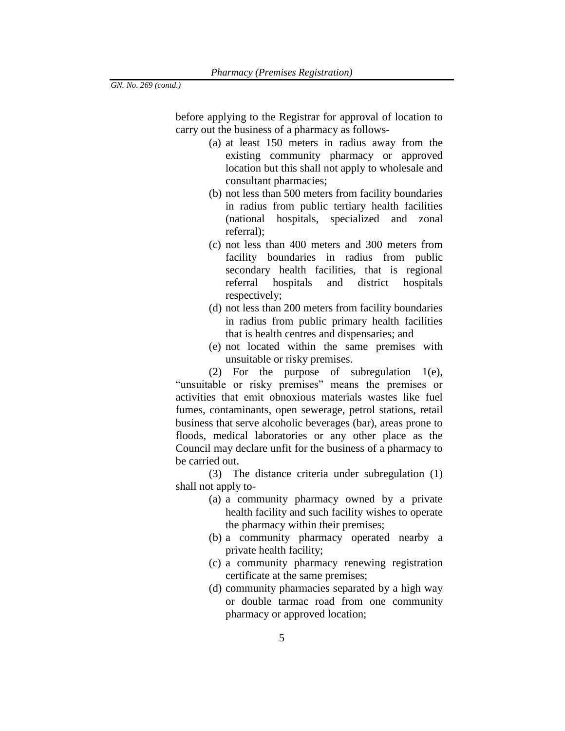before applying to the Registrar for approval of location to carry out the business of a pharmacy as follows-

- (a) at least 150 meters in radius away from the existing community pharmacy or approved location but this shall not apply to wholesale and consultant pharmacies;
- (b) not less than 500 meters from facility boundaries in radius from public tertiary health facilities (national hospitals, specialized and zonal referral);
- (c) not less than 400 meters and 300 meters from facility boundaries in radius from public secondary health facilities, that is regional referral hospitals and district hospitals respectively;
- (d) not less than 200 meters from facility boundaries in radius from public primary health facilities that is health centres and dispensaries; and
- (e) not located within the same premises with unsuitable or risky premises.

(2) For the purpose of subregulation 1(e), "unsuitable or risky premises" means the premises or activities that emit obnoxious materials wastes like fuel fumes, contaminants, open sewerage, petrol stations, retail business that serve alcoholic beverages (bar), areas prone to floods, medical laboratories or any other place as the Council may declare unfit for the business of a pharmacy to be carried out.

(3) The distance criteria under subregulation (1) shall not apply to-

- (a) a community pharmacy owned by a private health facility and such facility wishes to operate the pharmacy within their premises;
- (b) a community pharmacy operated nearby a private health facility;
- (c) a community pharmacy renewing registration certificate at the same premises;
- (d) community pharmacies separated by a high way or double tarmac road from one community pharmacy or approved location;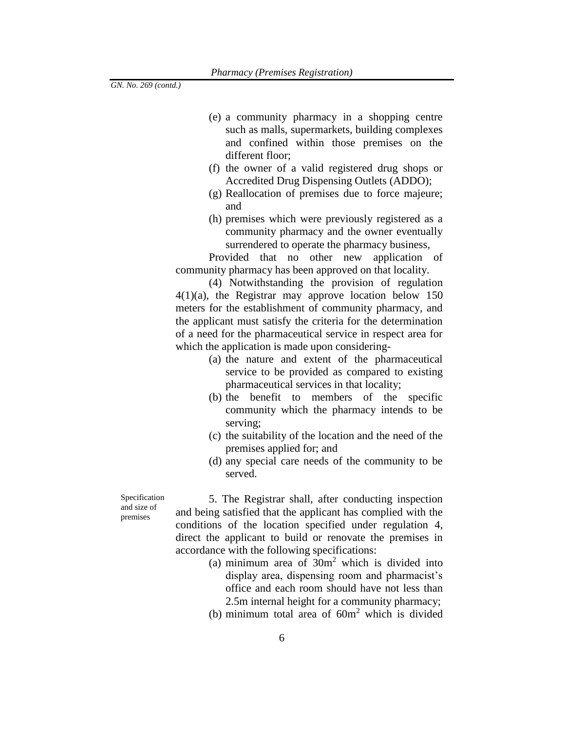- (e) a community pharmacy in a shopping centre such as malls, supermarkets, building complexes and confined within those premises on the different floor;
- (f) the owner of a valid registered drug shops or Accredited Drug Dispensing Outlets (ADDO);
- (g) Reallocation of premises due to force majeure; and
- (h) premises which were previously registered as a community pharmacy and the owner eventually surrendered to operate the pharmacy business,

Provided that no other new application of community pharmacy has been approved on that locality.

(4) Notwithstanding the provision of regulation 4(1)(a), the Registrar may approve location below 150 meters for the establishment of community pharmacy, and the applicant must satisfy the criteria for the determination of a need for the pharmaceutical service in respect area for which the application is made upon considering-

- (a) the nature and extent of the pharmaceutical service to be provided as compared to existing pharmaceutical services in that locality;
- (b) the benefit to members of the specific community which the pharmacy intends to be serving;
- (c) the suitability of the location and the need of the premises applied for; and
- (d) any special care needs of the community to be served.

Specification and size of premises

5. The Registrar shall, after conducting inspection and being satisfied that the applicant has complied with the conditions of the location specified under regulation 4, direct the applicant to build or renovate the premises in accordance with the following specifications:

- (a) minimum area of  $30m<sup>2</sup>$  which is divided into display area, dispensing room and pharmacist's office and each room should have not less than 2.5m internal height for a community pharmacy;
- (b) minimum total area of  $60m<sup>2</sup>$  which is divided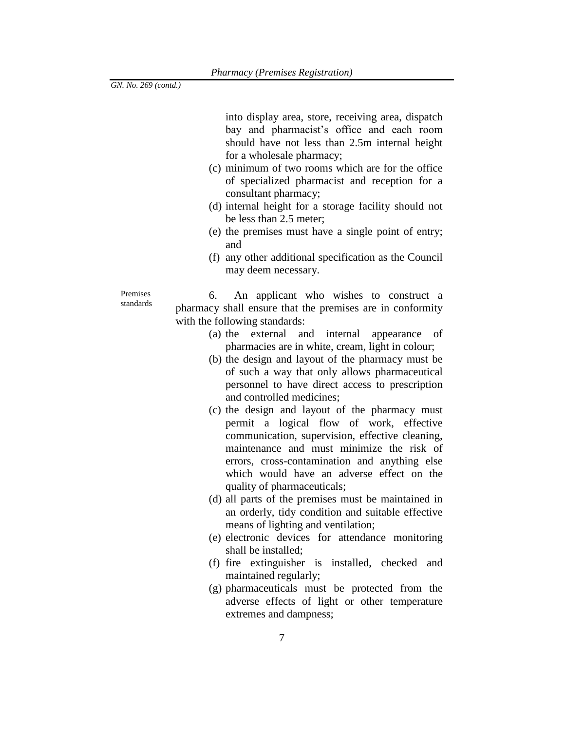into display area, store, receiving area, dispatch bay and pharmacist's office and each room should have not less than 2.5m internal height for a wholesale pharmacy;

- (c) minimum of two rooms which are for the office of specialized pharmacist and reception for a consultant pharmacy;
- (d) internal height for a storage facility should not be less than 2.5 meter;
- (e) the premises must have a single point of entry; and
- (f) any other additional specification as the Council may deem necessary.

Premises standards

6. An applicant who wishes to construct a pharmacy shall ensure that the premises are in conformity with the following standards:

- (a) the external and internal appearance of pharmacies are in white, cream, light in colour;
- (b) the design and layout of the pharmacy must be of such a way that only allows pharmaceutical personnel to have direct access to prescription and controlled medicines;
- (c) the design and layout of the pharmacy must permit a logical flow of work, effective communication, supervision, effective cleaning, maintenance and must minimize the risk of errors, cross-contamination and anything else which would have an adverse effect on the quality of pharmaceuticals;
- (d) all parts of the premises must be maintained in an orderly, tidy condition and suitable effective means of lighting and ventilation;
- (e) electronic devices for attendance monitoring shall be installed;
- (f) fire extinguisher is installed, checked and maintained regularly;
- (g) pharmaceuticals must be protected from the adverse effects of light or other temperature extremes and dampness;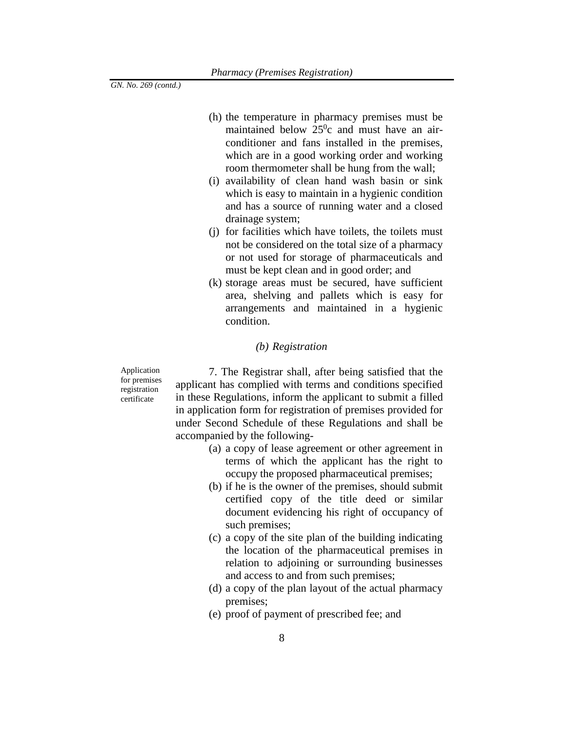- (h) the temperature in pharmacy premises must be maintained below  $25^\circ c$  and must have an airconditioner and fans installed in the premises, which are in a good working order and working room thermometer shall be hung from the wall;
- (i) availability of clean hand wash basin or sink which is easy to maintain in a hygienic condition and has a source of running water and a closed drainage system;
- (j) for facilities which have toilets, the toilets must not be considered on the total size of a pharmacy or not used for storage of pharmaceuticals and must be kept clean and in good order; and
- (k) storage areas must be secured, have sufficient area, shelving and pallets which is easy for arrangements and maintained in a hygienic condition.

# *(b) Registration*

Application for premises registration certificate

7. The Registrar shall, after being satisfied that the applicant has complied with terms and conditions specified in these Regulations, inform the applicant to submit a filled in application form for registration of premises provided for under Second Schedule of these Regulations and shall be accompanied by the following-

- (a) a copy of lease agreement or other agreement in terms of which the applicant has the right to occupy the proposed pharmaceutical premises;
- (b) if he is the owner of the premises, should submit certified copy of the title deed or similar document evidencing his right of occupancy of such premises;
- (c) a copy of the site plan of the building indicating the location of the pharmaceutical premises in relation to adjoining or surrounding businesses and access to and from such premises;
- (d) a copy of the plan layout of the actual pharmacy premises;
- (e) proof of payment of prescribed fee; and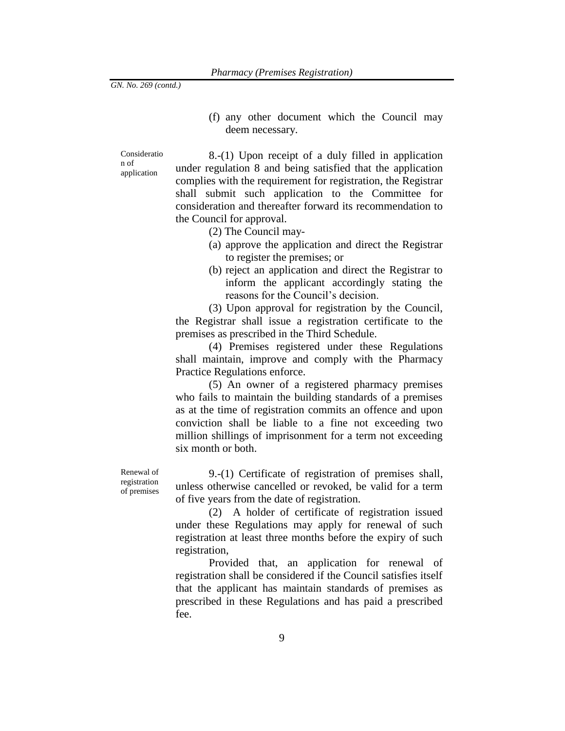(f) any other document which the Council may deem necessary.

Consideratio n of application

8.-(1) Upon receipt of a duly filled in application under regulation 8 and being satisfied that the application complies with the requirement for registration, the Registrar shall submit such application to the Committee for consideration and thereafter forward its recommendation to the Council for approval.

- (2) The Council may-
- (a) approve the application and direct the Registrar to register the premises; or
- (b) reject an application and direct the Registrar to inform the applicant accordingly stating the reasons for the Council's decision.

(3) Upon approval for registration by the Council, the Registrar shall issue a registration certificate to the premises as prescribed in the Third Schedule.

(4) Premises registered under these Regulations shall maintain, improve and comply with the Pharmacy Practice Regulations enforce.

(5) An owner of a registered pharmacy premises who fails to maintain the building standards of a premises as at the time of registration commits an offence and upon conviction shall be liable to a fine not exceeding two million shillings of imprisonment for a term not exceeding six month or both.

Renewal of registration of premises

9.-(1) Certificate of registration of premises shall, unless otherwise cancelled or revoked, be valid for a term of five years from the date of registration.

(2) A holder of certificate of registration issued under these Regulations may apply for renewal of such registration at least three months before the expiry of such registration,

Provided that, an application for renewal of registration shall be considered if the Council satisfies itself that the applicant has maintain standards of premises as prescribed in these Regulations and has paid a prescribed fee.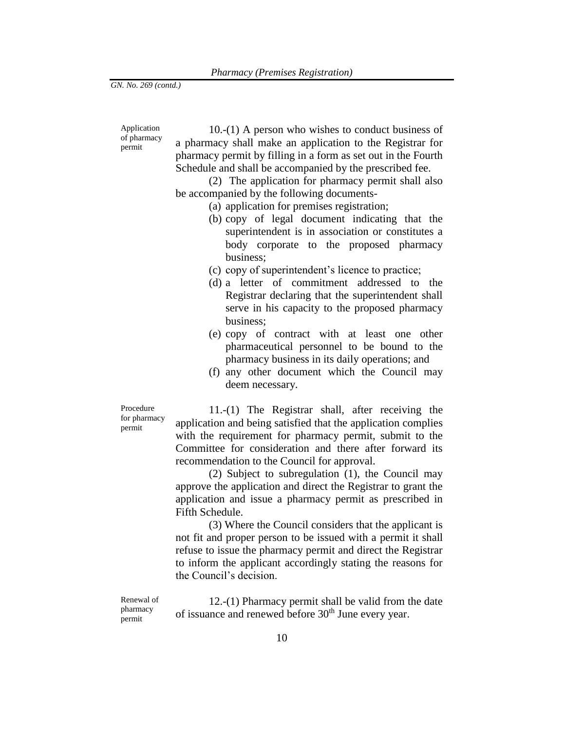Application of pharmacy permit

10.-(1) A person who wishes to conduct business of a pharmacy shall make an application to the Registrar for pharmacy permit by filling in a form as set out in the Fourth Schedule and shall be accompanied by the prescribed fee.

(2) The application for pharmacy permit shall also be accompanied by the following documents-

- (a) application for premises registration;
- (b) copy of legal document indicating that the superintendent is in association or constitutes a body corporate to the proposed pharmacy business;
- (c) copy of superintendent's licence to practice;
- (d) a letter of commitment addressed to the Registrar declaring that the superintendent shall serve in his capacity to the proposed pharmacy business;
- (e) copy of contract with at least one other pharmaceutical personnel to be bound to the pharmacy business in its daily operations; and
- (f) any other document which the Council may deem necessary.

Procedure for pharmacy permit

11.-(1) The Registrar shall, after receiving the application and being satisfied that the application complies with the requirement for pharmacy permit, submit to the Committee for consideration and there after forward its recommendation to the Council for approval.

(2) Subject to subregulation (1), the Council may approve the application and direct the Registrar to grant the application and issue a pharmacy permit as prescribed in Fifth Schedule.

(3) Where the Council considers that the applicant is not fit and proper person to be issued with a permit it shall refuse to issue the pharmacy permit and direct the Registrar to inform the applicant accordingly stating the reasons for the Council's decision.

Renewal of pharmacy permit

12.-(1) Pharmacy permit shall be valid from the date of issuance and renewed before 30<sup>th</sup> June every year.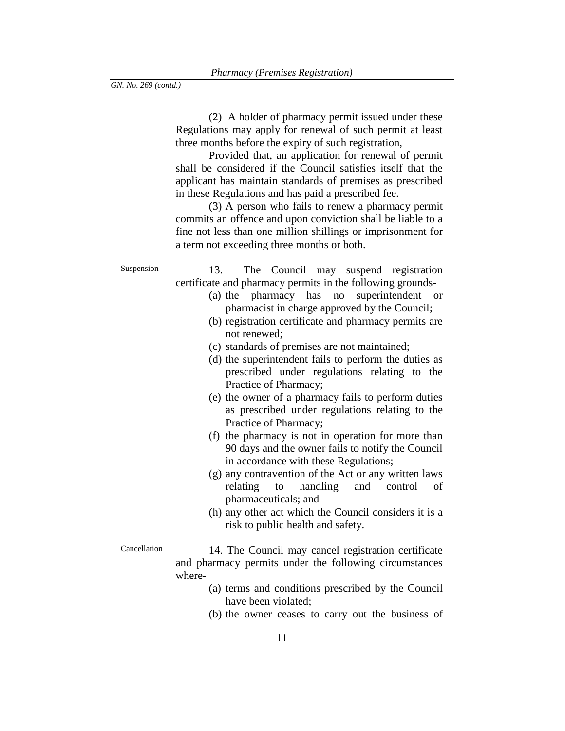(2) A holder of pharmacy permit issued under these Regulations may apply for renewal of such permit at least three months before the expiry of such registration,

Provided that, an application for renewal of permit shall be considered if the Council satisfies itself that the applicant has maintain standards of premises as prescribed in these Regulations and has paid a prescribed fee.

(3) A person who fails to renew a pharmacy permit commits an offence and upon conviction shall be liable to a fine not less than one million shillings or imprisonment for a term not exceeding three months or both.

Suspension 13. The Council may suspend registration certificate and pharmacy permits in the following grounds-

- (a) the pharmacy has no superintendent or pharmacist in charge approved by the Council;
- (b) registration certificate and pharmacy permits are not renewed;
- (c) standards of premises are not maintained;
- (d) the superintendent fails to perform the duties as prescribed under regulations relating to the Practice of Pharmacy;
- (e) the owner of a pharmacy fails to perform duties as prescribed under regulations relating to the Practice of Pharmacy;
- (f) the pharmacy is not in operation for more than 90 days and the owner fails to notify the Council in accordance with these Regulations;
- (g) any contravention of the Act or any written laws relating to handling and control of pharmaceuticals; and
- (h) any other act which the Council considers it is a risk to public health and safety.

Cancellation 14. The Council may cancel registration certificate and pharmacy permits under the following circumstances where-

- (a) terms and conditions prescribed by the Council have been violated;
- (b) the owner ceases to carry out the business of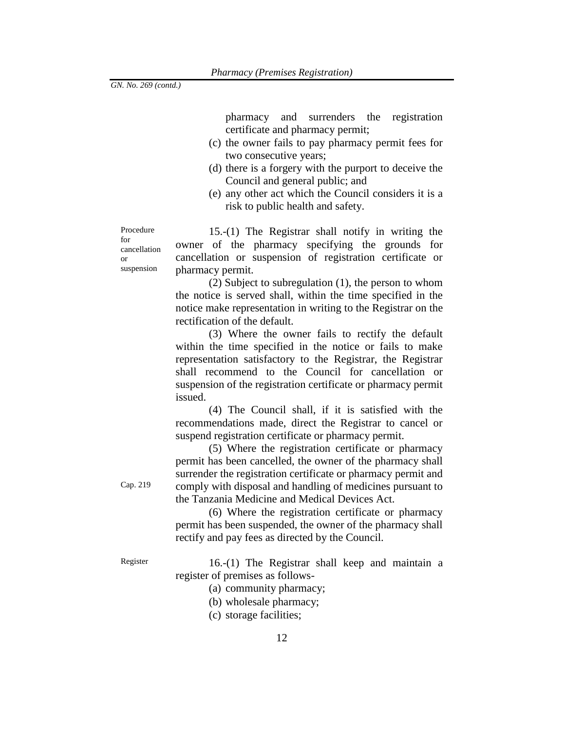pharmacy and surrenders the registration certificate and pharmacy permit;

- (c) the owner fails to pay pharmacy permit fees for two consecutive years;
- (d) there is a forgery with the purport to deceive the Council and general public; and
- (e) any other act which the Council considers it is a risk to public health and safety.

Procedure for cancellation or suspension

15.-(1) The Registrar shall notify in writing the owner of the pharmacy specifying the grounds for cancellation or suspension of registration certificate or pharmacy permit.

(2) Subject to subregulation (1), the person to whom the notice is served shall, within the time specified in the notice make representation in writing to the Registrar on the rectification of the default.

(3) Where the owner fails to rectify the default within the time specified in the notice or fails to make representation satisfactory to the Registrar, the Registrar shall recommend to the Council for cancellation or suspension of the registration certificate or pharmacy permit issued.

(4) The Council shall, if it is satisfied with the recommendations made, direct the Registrar to cancel or suspend registration certificate or pharmacy permit.

(5) Where the registration certificate or pharmacy permit has been cancelled, the owner of the pharmacy shall surrender the registration certificate or pharmacy permit and comply with disposal and handling of medicines pursuant to the Tanzania Medicine and Medical Devices Act.

(6) Where the registration certificate or pharmacy permit has been suspended, the owner of the pharmacy shall rectify and pay fees as directed by the Council.

Cap. 219

Register 16.-(1) The Registrar shall keep and maintain a register of premises as follows-

(a) community pharmacy;

- (b) wholesale pharmacy;
- (c) storage facilities;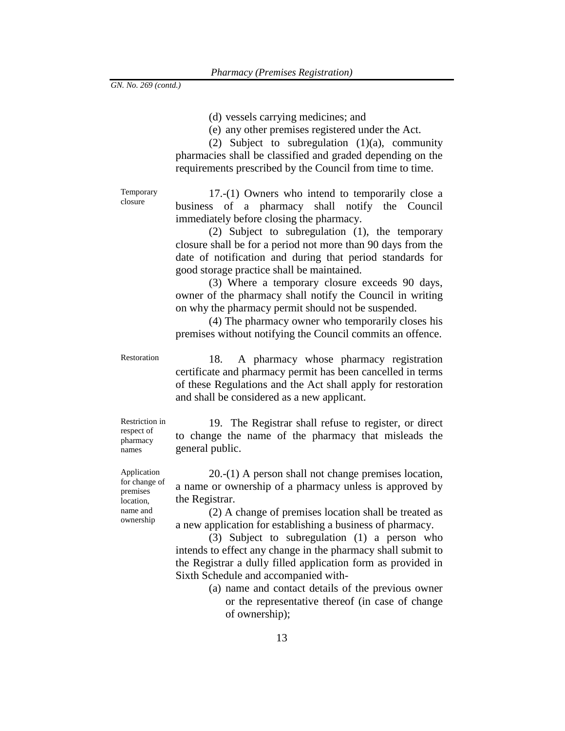(d) vessels carrying medicines; and

(e) any other premises registered under the Act.

(2) Subject to subregulation  $(1)(a)$ , community pharmacies shall be classified and graded depending on the requirements prescribed by the Council from time to time.

Temporary closure

17.-(1) Owners who intend to temporarily close a business of a pharmacy shall notify the Council immediately before closing the pharmacy.

(2) Subject to subregulation (1), the temporary closure shall be for a period not more than 90 days from the date of notification and during that period standards for good storage practice shall be maintained.

(3) Where a temporary closure exceeds 90 days, owner of the pharmacy shall notify the Council in writing on why the pharmacy permit should not be suspended.

(4) The pharmacy owner who temporarily closes his premises without notifying the Council commits an offence.

Restoration 18. A pharmacy whose pharmacy registration certificate and pharmacy permit has been cancelled in terms of these Regulations and the Act shall apply for restoration and shall be considered as a new applicant.

Restriction in respect of pharmacy names

19. The Registrar shall refuse to register, or direct to change the name of the pharmacy that misleads the general public.

Application for change of premises location, name and ownership

20.-(1) A person shall not change premises location, a name or ownership of a pharmacy unless is approved by the Registrar.

(2) A change of premises location shall be treated as a new application for establishing a business of pharmacy.

(3) Subject to subregulation (1) a person who intends to effect any change in the pharmacy shall submit to the Registrar a dully filled application form as provided in Sixth Schedule and accompanied with-

> (a) name and contact details of the previous owner or the representative thereof (in case of change of ownership);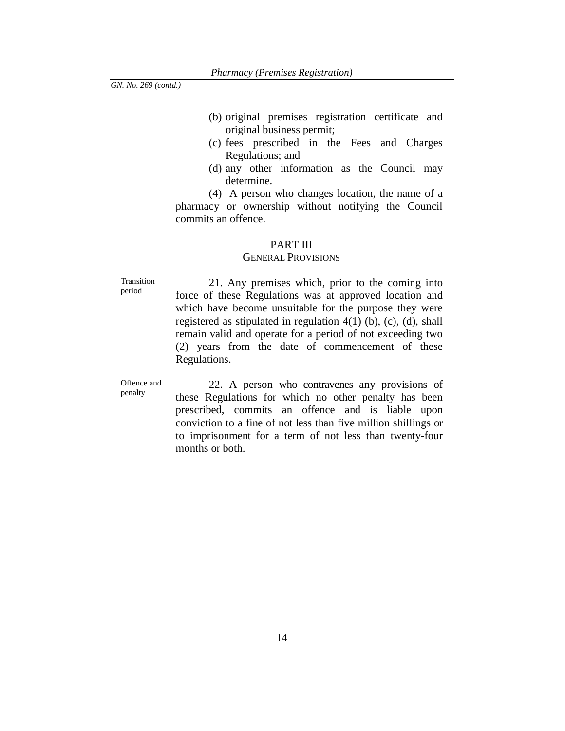- (b) original premises registration certificate and original business permit;
- (c) fees prescribed in the Fees and Charges Regulations; and
- (d) any other information as the Council may determine.

(4) A person who changes location, the name of a pharmacy or ownership without notifying the Council commits an offence.

# PART III

# GENERAL PROVISIONS

Transition period

21. Any premises which, prior to the coming into force of these Regulations was at approved location and which have become unsuitable for the purpose they were registered as stipulated in regulation 4(1) (b), (c), (d), shall remain valid and operate for a period of not exceeding two (2) years from the date of commencement of these Regulations.

Offence and penalty

22. A person who contravenes any provisions of these Regulations for which no other penalty has been prescribed, commits an offence and is liable upon conviction to a fine of not less than five million shillings or to imprisonment for a term of not less than twenty-four months or both.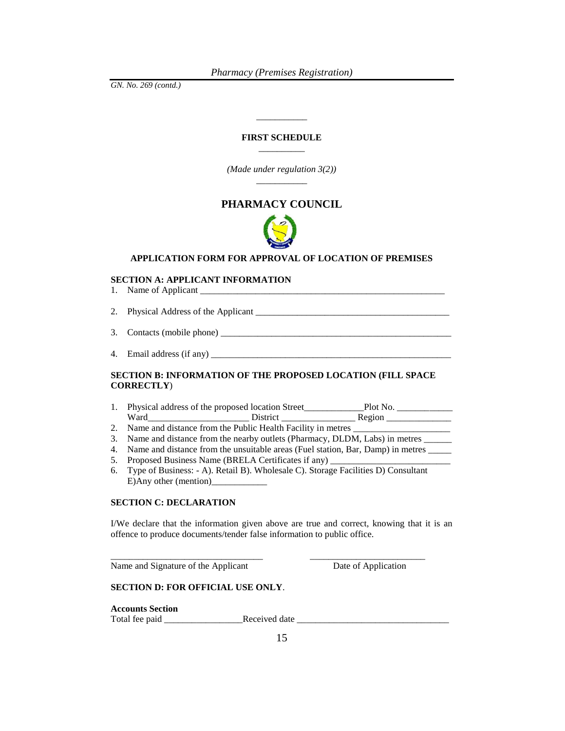*GN. No. 269 (contd.)*

## **FIRST SCHEDULE** \_\_\_\_\_\_\_\_\_\_

\_\_\_\_\_\_\_\_\_\_\_

*(Made under regulation 3(2))* \_\_\_\_\_\_\_\_\_\_\_

# **PHARMACY COUNCIL**



# **APPLICATION FORM FOR APPROVAL OF LOCATION OF PREMISES**

### **SECTION A: APPLICANT INFORMATION**

| 4. Email address (if any) __ |
|------------------------------|

# **SECTION B: INFORMATION OF THE PROPOSED LOCATION (FILL SPACE CORRECTLY**)

- 1. Physical address of the proposed location Street\_\_\_\_\_\_\_\_\_\_\_\_\_Plot No. \_\_\_\_\_\_\_\_\_\_\_\_ Ward **Example 2.1 District Example 2.1 Region** Region **Region**
- 2. Name and distance from the Public Health Facility in metres
- 3. Name and distance from the nearby outlets (Pharmacy, DLDM, Labs) in metres \_\_\_\_\_\_
- 4. Name and distance from the unsuitable areas (Fuel station, Bar, Damp) in metres \_\_\_\_\_
- 5. Proposed Business Name (BRELA Certificates if any)
- 6. Type of Business: A). Retail B). Wholesale C). Storage Facilities D) Consultant E)Any other (mention)

\_\_\_\_\_\_\_\_\_\_\_\_\_\_\_\_\_\_\_\_\_\_\_\_\_\_\_\_\_\_\_\_\_ \_\_\_\_\_\_\_\_\_\_\_\_\_\_\_\_\_\_\_\_\_\_\_\_\_

## **SECTION C: DECLARATION**

I/We declare that the information given above are true and correct, knowing that it is an offence to produce documents/tender false information to public office.

Name and Signature of the Applicant Date of Application

# **SECTION D: FOR OFFICIAL USE ONLY**.

**Accounts Section** 

Total fee paid \_\_\_\_\_\_\_\_\_\_\_\_\_\_\_\_\_Received date \_\_\_\_\_\_\_\_\_\_\_\_\_\_\_\_\_\_\_\_\_\_\_\_\_\_\_\_\_\_\_\_\_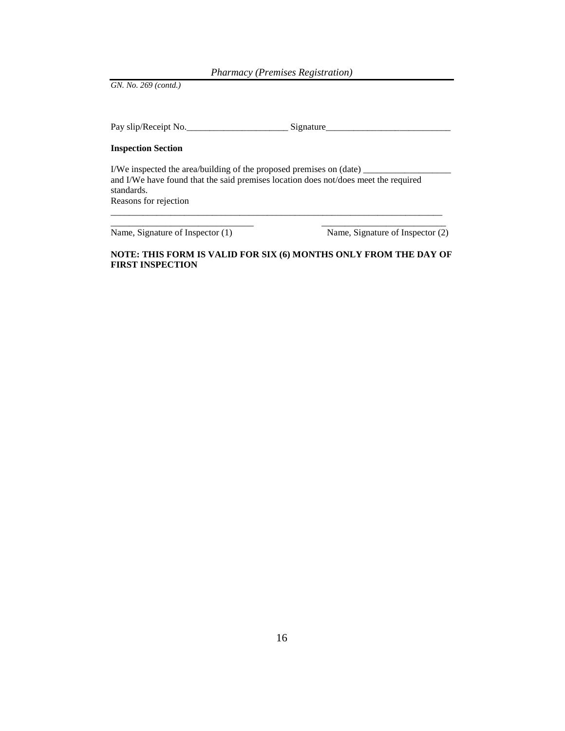*GN. No. 269 (contd.)*

Pay slip/Receipt No.\_\_\_\_\_\_\_\_\_\_\_\_\_\_\_\_\_\_\_\_\_\_\_\_\_\_\_\_\_\_\_\_Signature\_

## **Inspection Section**

I/We inspected the area/building of the proposed premises on (date)  $\_\_$ and I/We have found that the said premises location does not/does meet the required standards. Reasons for rejection

\_\_\_\_\_\_\_\_\_\_\_\_\_\_\_\_\_\_\_\_\_\_\_\_\_\_\_\_\_\_\_ \_\_\_\_\_\_\_\_\_\_\_\_\_\_\_\_\_\_\_\_\_\_\_\_\_\_\_

Name, Signature of Inspector (1) Name, Signature of Inspector (2)

# **NOTE: THIS FORM IS VALID FOR SIX (6) MONTHS ONLY FROM THE DAY OF FIRST INSPECTION**

\_\_\_\_\_\_\_\_\_\_\_\_\_\_\_\_\_\_\_\_\_\_\_\_\_\_\_\_\_\_\_\_\_\_\_\_\_\_\_\_\_\_\_\_\_\_\_\_\_\_\_\_\_\_\_\_\_\_\_\_\_\_\_\_\_\_\_\_\_\_\_\_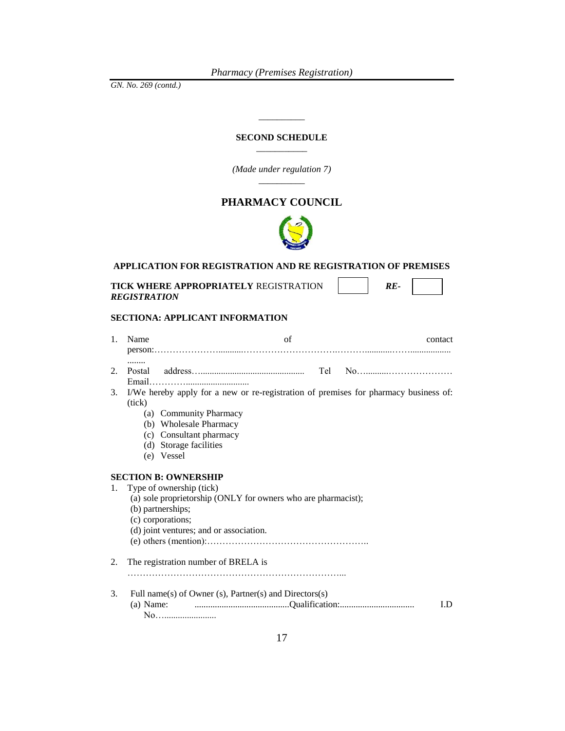*GN. No. 269 (contd.)*

## **SECOND SCHEDULE** \_\_\_\_\_\_\_\_\_\_\_

\_\_\_\_\_\_\_\_\_\_

*(Made under regulation 7)* \_\_\_\_\_\_\_\_\_\_

# **PHARMACY COUNCIL**



# **APPLICATION FOR REGISTRATION AND RE REGISTRATION OF PREMISES**

| <b>TICK WHERE APPROPRIATELY REGISTRATION</b> |  |  |
|----------------------------------------------|--|--|
| REGISTRATION                                 |  |  |

## **SECTIONA: APPLICANT INFORMATION**

| $\mathbf{1}$ . | Name   | of                                                                                                                                                                             | contact |
|----------------|--------|--------------------------------------------------------------------------------------------------------------------------------------------------------------------------------|---------|
| 2.             | Postal |                                                                                                                                                                                |         |
| 3.             | (tick) | I/We hereby apply for a new or re-registration of premises for pharmacy business of:                                                                                           |         |
|                |        | (a) Community Pharmacy<br>(b) Wholesale Pharmacy<br>(c) Consultant pharmacy<br>(d) Storage facilities<br>(e) Vessel                                                            |         |
|                |        | <b>SECTION B: OWNERSHIP</b>                                                                                                                                                    |         |
| 1.             |        | Type of ownership (tick)<br>(a) sole proprietorship (ONLY for owners who are pharmacist);<br>(b) partnerships;<br>(c) corporations;<br>(d) joint ventures; and or association. |         |
| 2.             |        | The registration number of BRELA is                                                                                                                                            |         |
| 3.             |        | Full name(s) of Owner (s), Partner(s) and Directors(s)<br>No                                                                                                                   | LD.     |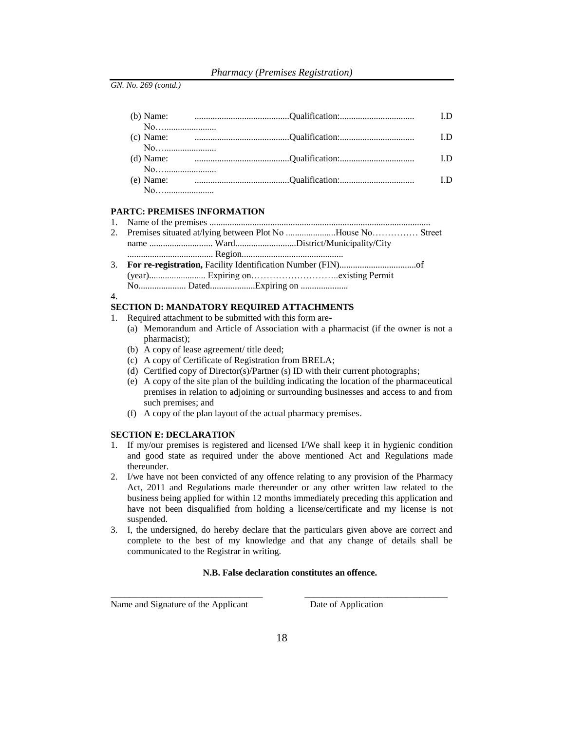|    |                                                                                                                                               | LD  |
|----|-----------------------------------------------------------------------------------------------------------------------------------------------|-----|
| No |                                                                                                                                               |     |
|    |                                                                                                                                               | LD. |
| No |                                                                                                                                               |     |
|    |                                                                                                                                               |     |
| No |                                                                                                                                               |     |
|    | (e) Name: $\qquad \qquad \ldots \qquad \qquad \ldots \qquad \qquad \ldots \qquad \qquad \ldots \qquad \qquad \ldots \qquad \qquad \text{I.D}$ |     |
|    |                                                                                                                                               |     |

# **PARTC: PREMISES INFORMATION**

| 2. Premises situated at/lying between Plot No House No Street |  |
|---------------------------------------------------------------|--|

- name ........................... Ward...........................District/Municipality/City
- ...................................... Region............................................. 3. **For re-registration,** Facility Identification Number (FIN)..................................of (year)......................... Expiring on………………………..existing Permit No..................... Dated....................Expiring on .....................

#### 4.

#### **SECTION D: MANDATORY REQUIRED ATTACHMENTS**

- 1. Required attachment to be submitted with this form are-
	- (a) Memorandum and Article of Association with a pharmacist (if the owner is not a pharmacist);
	- (b) A copy of lease agreement/ title deed;
	- (c) A copy of Certificate of Registration from BRELA;
	- (d) Certified copy of Director(s)/Partner (s) ID with their current photographs;
	- (e) A copy of the site plan of the building indicating the location of the pharmaceutical premises in relation to adjoining or surrounding businesses and access to and from such premises; and
	- (f) A copy of the plan layout of the actual pharmacy premises.

#### **SECTION E: DECLARATION**

- 1. If my/our premises is registered and licensed I/We shall keep it in hygienic condition and good state as required under the above mentioned Act and Regulations made thereunder.
- 2. I/we have not been convicted of any offence relating to any provision of the Pharmacy Act, 2011 and Regulations made thereunder or any other written law related to the business being applied for within 12 months immediately preceding this application and have not been disqualified from holding a license/certificate and my license is not suspended.
- 3. I, the undersigned, do hereby declare that the particulars given above are correct and complete to the best of my knowledge and that any change of details shall be communicated to the Registrar in writing.

### **N.B. False declaration constitutes an offence.**

Name and Signature of the Applicant Date of Application

\_\_\_\_\_\_\_\_\_\_\_\_\_\_\_\_\_\_\_\_\_\_\_\_\_\_\_\_\_\_\_\_\_ \_\_\_\_\_\_\_\_\_\_\_\_\_\_\_\_\_\_\_\_\_\_\_\_\_\_\_\_\_\_\_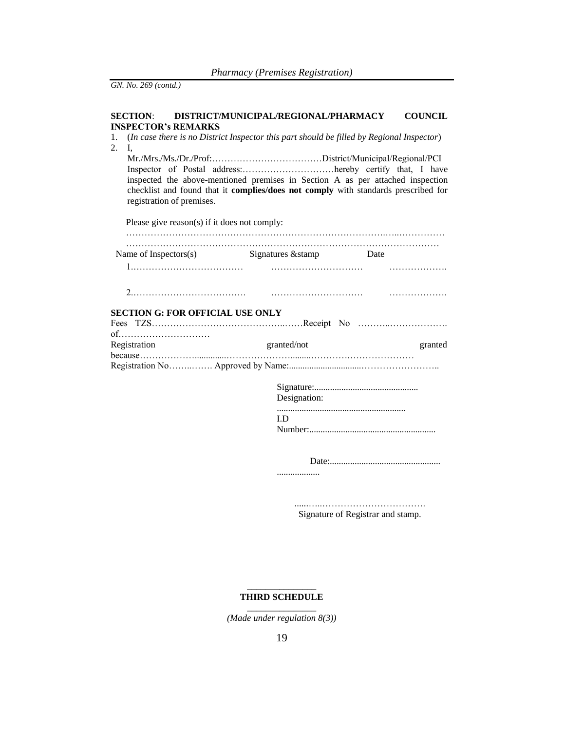## **SECTION**: **DISTRICT/MUNICIPAL/REGIONAL/PHARMACY COUNCIL INSPECTOR's REMARKS**

- 1. (*In case there is no District Inspector this part should be filled by Regional Inspector*) 2. I,
- Mr./Mrs./Ms./Dr./Prof:………………………………District/Municipal/Regional/PCI Inspector of Postal address:…………………………hereby certify that, I have inspected the above-mentioned premises in Section A as per attached inspection checklist and found that it **complies/does not comply** with standards prescribed for registration of premises.

Please give reason(s) if it does not comply:

| Name of Inspectors $(s)$                | Signatures & stamp | Date    |
|-----------------------------------------|--------------------|---------|
|                                         |                    |         |
|                                         |                    |         |
| <b>SECTION G: FOR OFFICIAL USE ONLY</b> |                    |         |
| of                                      |                    |         |
| Registration                            | granted/not        | granted |
|                                         |                    |         |
|                                         | Designation:       |         |

......................................................... I.D

Number:........................................................

Date:.................................................

...................

......…..……………………………. Signature of Registrar and stamp.

#### \_\_\_\_\_\_\_\_\_\_\_\_\_\_\_ **THIRD SCHEDULE** \_\_\_\_\_\_\_\_\_\_\_\_\_\_\_

*<sup>(</sup>Made under regulation 8(3))*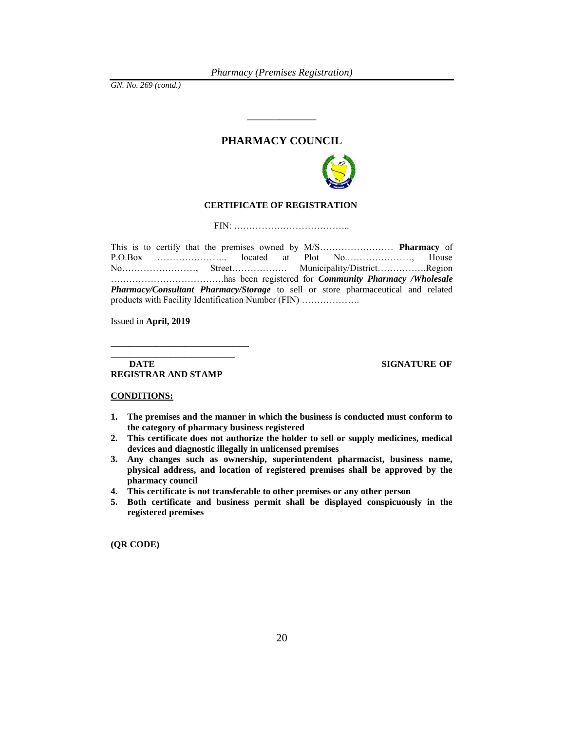# **PHARMACY COUNCIL**

\_\_\_\_\_\_\_\_\_\_\_\_\_\_\_



### **CERTIFICATE OF REGISTRATION**

FIN: ………………………………..

This is to certify that the premises owned by M/S…………………… **Pharmacy** of P.O.Box ………………….. located at Plot No.…………………, House No……………………, Street……………… Municipality/District…………….Region ……………………………….has been registered for *Community Pharmacy /Wholesale Pharmacy/Consultant Pharmacy/Storage* to sell or store pharmaceutical and related products with Facility Identification Number (FIN) ……………….

Issued in **April, 2019**

#### **DATE** SIGNATURE OF **REGISTRAR AND STAMP**

**\_\_\_\_\_\_\_\_\_\_\_\_\_\_\_\_\_\_\_\_\_\_\_\_\_\_\_** 

#### **CONDITIONS:**

- **1. The premises and the manner in which the business is conducted must conform to the category of pharmacy business registered**
- **2. This certificate does not authorize the holder to sell or supply medicines, medical devices and diagnostic illegally in unlicensed premises**
- **3. Any changes such as ownership, superintendent pharmacist, business name, physical address, and location of registered premises shall be approved by the pharmacy council**
- **4. This certificate is not transferable to other premises or any other person**

**\_\_\_\_\_\_\_\_\_\_\_\_\_\_\_\_\_\_\_\_\_\_\_\_\_\_\_\_\_\_** 

**5. Both certificate and business permit shall be displayed conspicuously in the registered premises**

**(QR CODE)**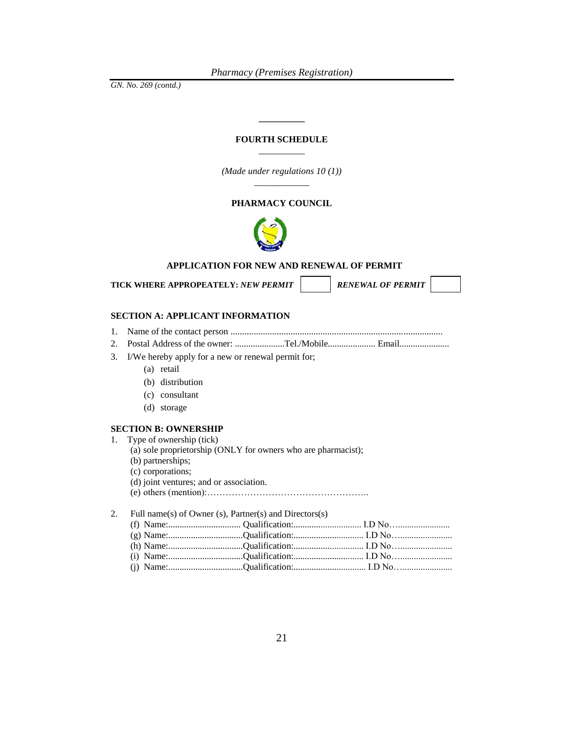*GN. No. 269 (contd.)*

## **FOURTH SCHEDULE**  $\overline{\phantom{a}}$

**\_\_\_\_\_\_\_\_\_\_**

*(Made under regulations 10 (1))* \_\_\_\_\_\_\_\_\_\_\_\_

# **PHARMACY COUNCIL**



# **APPLICATION FOR NEW AND RENEWAL OF PERMIT**

TICK WHERE APPROPEATELY: *NEW PERMIT* **RENEWAL OF PERMIT** 

#### **SECTION A: APPLICANT INFORMATION**

- 1. Name of the contact person ............................................................................................
- 2. Postal Address of the owner: ......................Tel./Mobile..................... Email......................
- 3. I/We hereby apply for a new or renewal permit for;
	- (a) retail
	- (b) distribution
	- (c) consultant
	- (d) storage

## **SECTION B: OWNERSHIP**

- 1. Type of ownership (tick)
	- (a) sole proprietorship (ONLY for owners who are pharmacist);
	- (b) partnerships;
	- (c) corporations;
	- (d) joint ventures; and or association.
	- (e) others (mention):……………………………………………..

#### 2. Full name(s) of Owner (s), Partner(s) and Directors(s)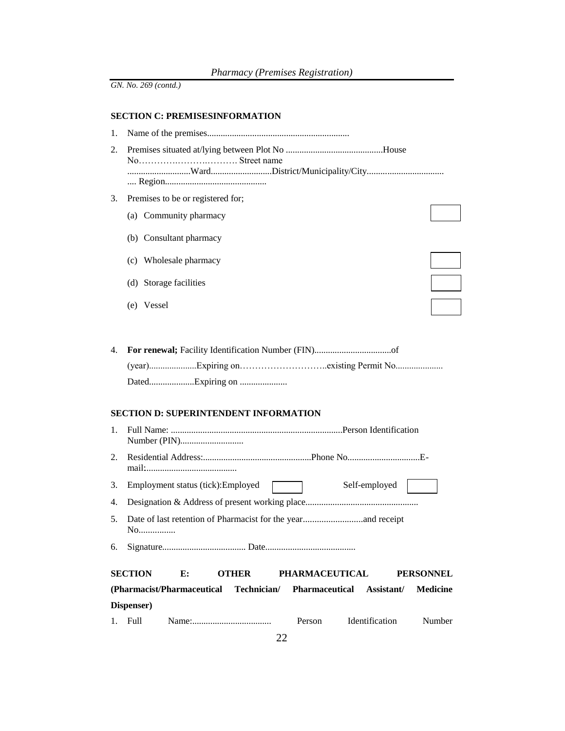# **SECTION C: PREMISESINFORMATION**

| 1. |                                                                                        |  |  |  |  |  |
|----|----------------------------------------------------------------------------------------|--|--|--|--|--|
| 2. |                                                                                        |  |  |  |  |  |
|    |                                                                                        |  |  |  |  |  |
| 3. | Premises to be or registered for;                                                      |  |  |  |  |  |
|    | (a) Community pharmacy                                                                 |  |  |  |  |  |
|    | (b) Consultant pharmacy                                                                |  |  |  |  |  |
|    | (c) Wholesale pharmacy                                                                 |  |  |  |  |  |
|    | (d) Storage facilities                                                                 |  |  |  |  |  |
|    | (e) Vessel                                                                             |  |  |  |  |  |
|    |                                                                                        |  |  |  |  |  |
| 4. |                                                                                        |  |  |  |  |  |
|    |                                                                                        |  |  |  |  |  |
|    | <b>SECTION D: SUPERINTENDENT INFORMATION</b>                                           |  |  |  |  |  |
| 1. |                                                                                        |  |  |  |  |  |
| 2. |                                                                                        |  |  |  |  |  |
| 3. | Self-employed<br>Employment status (tick): Employed                                    |  |  |  |  |  |
| 4. |                                                                                        |  |  |  |  |  |
| 5. | No                                                                                     |  |  |  |  |  |
| 6. |                                                                                        |  |  |  |  |  |
|    | <b>SECTION</b><br><b>PHARMACEUTICAL</b><br>E:<br><b>OTHER</b><br><b>PERSONNEL</b>      |  |  |  |  |  |
|    | (Pharmacist/Pharmaceutical Technician/<br>Pharmaceutical Assistant/<br><b>Medicine</b> |  |  |  |  |  |
|    | Dispenser)                                                                             |  |  |  |  |  |
| 1. | Full<br>Identification<br>Person<br>Number                                             |  |  |  |  |  |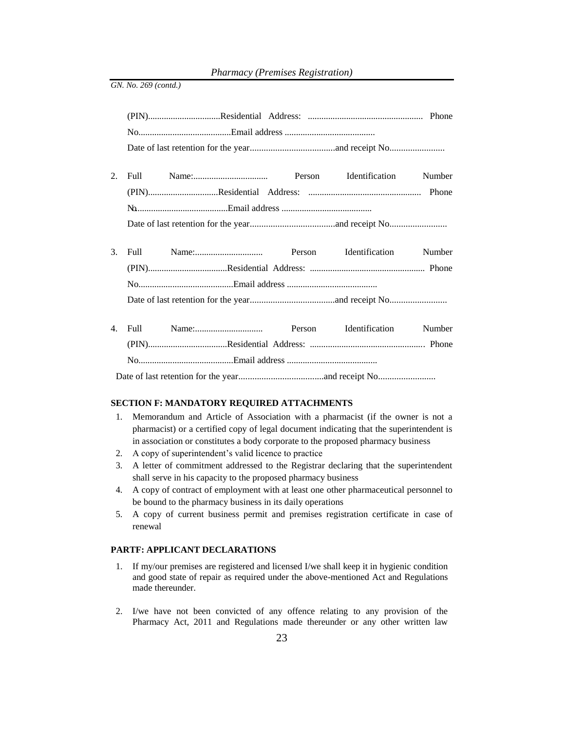| 2. |  |  | Number |
|----|--|--|--------|
|    |  |  |        |
|    |  |  |        |
|    |  |  |        |
|    |  |  |        |
|    |  |  |        |
| 3. |  |  | Number |
|    |  |  |        |
|    |  |  |        |
|    |  |  |        |
|    |  |  |        |
|    |  |  | Number |
|    |  |  |        |
|    |  |  |        |
|    |  |  |        |

#### **SECTION F: MANDATORY REQUIRED ATTACHMENTS**

- 1. Memorandum and Article of Association with a pharmacist (if the owner is not a pharmacist) or a certified copy of legal document indicating that the superintendent is in association or constitutes a body corporate to the proposed pharmacy business
- 2. A copy of superintendent's valid licence to practice
- 3. A letter of commitment addressed to the Registrar declaring that the superintendent shall serve in his capacity to the proposed pharmacy business
- 4. A copy of contract of employment with at least one other pharmaceutical personnel to be bound to the pharmacy business in its daily operations
- 5. A copy of current business permit and premises registration certificate in case of renewal

### **PARTF: APPLICANT DECLARATIONS**

- 1. If my/our premises are registered and licensed I/we shall keep it in hygienic condition and good state of repair as required under the above-mentioned Act and Regulations made thereunder.
- 2. I/we have not been convicted of any offence relating to any provision of the Pharmacy Act, 2011 and Regulations made thereunder or any other written law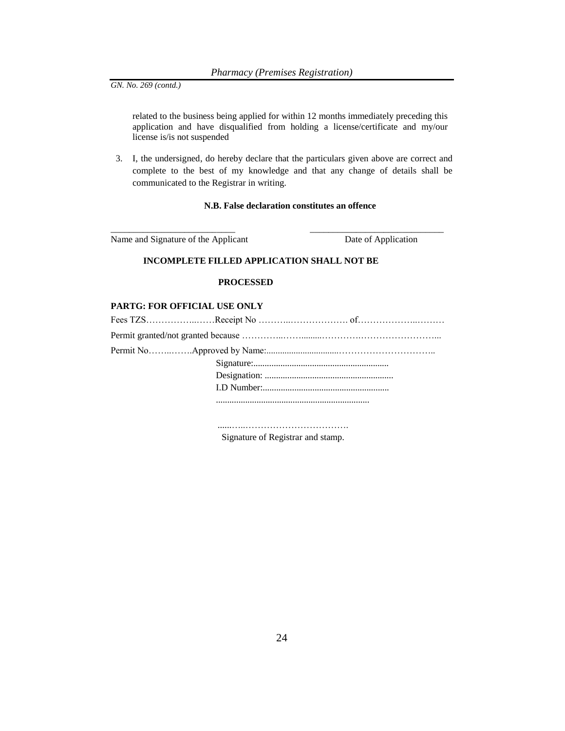related to the business being applied for within 12 months immediately preceding this application and have disqualified from holding a license/certificate and my/our license is/is not suspended

3. I, the undersigned, do hereby declare that the particulars given above are correct and complete to the best of my knowledge and that any change of details shall be communicated to the Registrar in writing.

#### **N.B. False declaration constitutes an offence**

\_\_\_\_\_\_\_\_\_\_\_\_\_\_\_\_\_\_\_\_\_\_\_\_\_\_\_ \_\_\_\_\_\_\_\_\_\_\_\_\_\_\_\_\_\_\_\_\_\_\_\_\_\_\_\_\_

Name and Signature of the Applicant Date of Application

## **INCOMPLETE FILLED APPLICATION SHALL NOT BE**

### **PROCESSED**

## **PARTG: FOR OFFICIAL USE ONLY**

......…..……………………………. Signature of Registrar and stamp.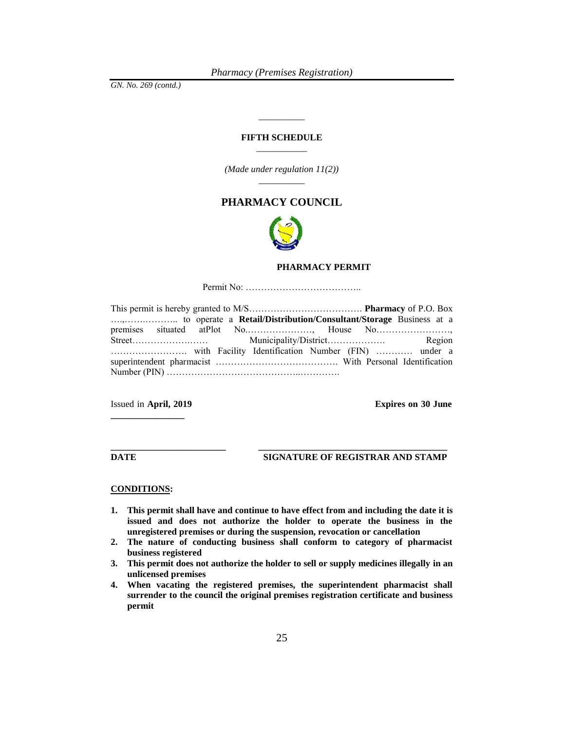*GN. No. 269 (contd.)*

### **FIFTH SCHEDULE** \_\_\_\_\_\_\_\_\_\_\_

\_\_\_\_\_\_\_\_\_\_

*(Made under regulation 11(2))* \_\_\_\_\_\_\_\_\_\_

# **PHARMACY COUNCIL**



#### **PHARMACY PERMIT**

Permit No: ………………………………..

Issued in **April, 2019 Expires on 30 June \_\_\_\_\_\_\_\_\_\_\_\_\_\_\_\_**

**DATE SIGNATURE OF REGISTRAR AND STAMP** 

#### **CONDITIONS:**

**1. This permit shall have and continue to have effect from and including the date it is issued and does not authorize the holder to operate the business in the unregistered premises or during the suspension, revocation or cancellation**

**\_\_\_\_\_\_\_\_\_\_\_\_\_\_\_\_\_\_\_\_\_\_\_\_\_ \_\_\_\_\_\_\_\_\_\_\_\_\_\_\_\_\_\_\_\_\_\_\_\_\_\_\_\_\_\_\_\_\_\_\_\_\_\_\_\_\_**

- **2. The nature of conducting business shall conform to category of pharmacist business registered**
- **3. This permit does not authorize the holder to sell or supply medicines illegally in an unlicensed premises**
- **4. When vacating the registered premises, the superintendent pharmacist shall surrender to the council the original premises registration certificate and business permit**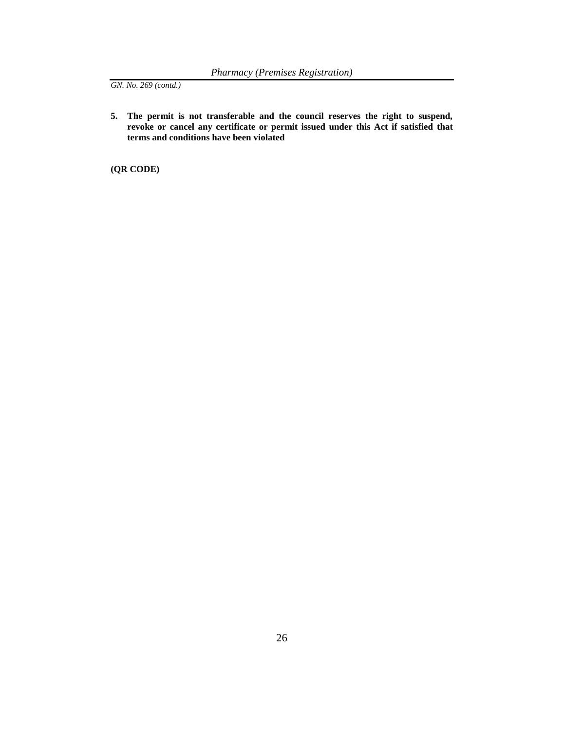**5. The permit is not transferable and the council reserves the right to suspend, revoke or cancel any certificate or permit issued under this Act if satisfied that terms and conditions have been violated**

**(QR CODE)**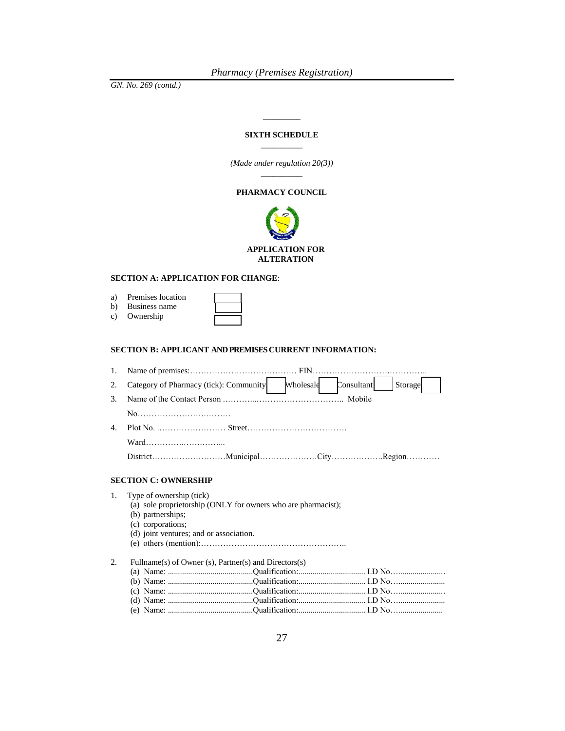#### **SIXTH SCHEDULE \_\_\_\_\_\_\_\_\_\_**

**\_\_\_\_\_\_\_\_\_**

*(Made under regulation 20(3))* **\_\_\_\_\_\_\_\_\_\_**

#### **PHARMACY COUNCIL**



#### **SECTION A: APPLICATION FOR CHANGE**:

| a) | Premises location |  |
|----|-------------------|--|
| b) | Business name     |  |
| C) | Ownership         |  |

#### **SECTION B: APPLICANT AND PREMISES CURRENT INFORMATION:**

| 1. |                                                                                                                                                                                |  |  |  |
|----|--------------------------------------------------------------------------------------------------------------------------------------------------------------------------------|--|--|--|
| 2. | Category of Pharmacy (tick): Community Mholesale<br>Consultant<br>Storage                                                                                                      |  |  |  |
| 3. |                                                                                                                                                                                |  |  |  |
|    |                                                                                                                                                                                |  |  |  |
| 4. |                                                                                                                                                                                |  |  |  |
|    |                                                                                                                                                                                |  |  |  |
|    |                                                                                                                                                                                |  |  |  |
|    | <b>SECTION C: OWNERSHIP</b>                                                                                                                                                    |  |  |  |
| 1. | Type of ownership (tick)<br>(a) sole proprietorship (ONLY for owners who are pharmacist);<br>(b) partnerships;<br>(c) corporations;<br>(d) joint ventures; and or association. |  |  |  |
| 2. | Fullname(s) of Owner (s), Partner(s) and Directors(s)                                                                                                                          |  |  |  |
|    |                                                                                                                                                                                |  |  |  |